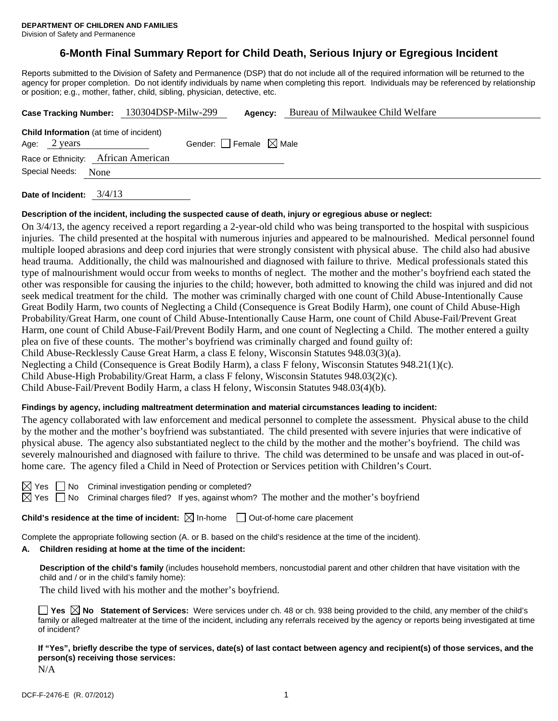# **6-Month Final Summary Report for Child Death, Serious Injury or Egregious Incident**

Reports submitted to the Division of Safety and Permanence (DSP) that do not include all of the required information will be returned to the agency for proper completion. Do not identify individuals by name when completing this report. Individuals may be referenced by relationship or position; e.g., mother, father, child, sibling, physician, detective, etc.

|                               | Case Tracking Number: 130304DSP-Milw-299       | Agency:                         | Bureau of Milwaukee Child Welfare |  |  |  |
|-------------------------------|------------------------------------------------|---------------------------------|-----------------------------------|--|--|--|
| Age: $2 \text{ years}$        | <b>Child Information</b> (at time of incident) | Gender: Female $\boxtimes$ Male |                                   |  |  |  |
|                               | Race or Ethnicity: African American            |                                 |                                   |  |  |  |
| Special Needs:<br><b>None</b> |                                                |                                 |                                   |  |  |  |
|                               |                                                |                                 |                                   |  |  |  |

**Date of Incident:** 3/4/13

### **Description of the incident, including the suspected cause of death, injury or egregious abuse or neglect:**

On 3/4/13, the agency received a report regarding a 2-year-old child who was being transported to the hospital with suspicious injuries. The child presented at the hospital with numerous injuries and appeared to be malnourished. Medical personnel found multiple looped abrasions and deep cord injuries that were strongly consistent with physical abuse. The child also had abusive head trauma. Additionally, the child was malnourished and diagnosed with failure to thrive. Medical professionals stated this type of malnourishment would occur from weeks to months of neglect. The mother and the mother's boyfriend each stated the other was responsible for causing the injuries to the child; however, both admitted to knowing the child was injured and did not seek medical treatment for the child. The mother was criminally charged with one count of Child Abuse-Intentionally Cause Great Bodily Harm, two counts of Neglecting a Child (Consequence is Great Bodily Harm), one count of Child Abuse-High Probability/Great Harm, one count of Child Abuse-Intentionally Cause Harm, one count of Child Abuse-Fail/Prevent Great Harm, one count of Child Abuse-Fail/Prevent Bodily Harm, and one count of Neglecting a Child. The mother entered a guilty plea on five of these counts. The mother's boyfriend was criminally charged and found guilty of: Child Abuse-Recklessly Cause Great Harm, a class E felony, Wisconsin Statutes 948.03(3)(a). Neglecting a Child (Consequence is Great Bodily Harm), a class F felony, Wisconsin Statutes 948.21(1)(c). Child Abuse-High Probability/Great Harm, a class F felony, Wisconsin Statutes 948.03(2)(c).

Child Abuse-Fail/Prevent Bodily Harm, a class H felony, Wisconsin Statutes 948.03(4)(b).

### **Findings by agency, including maltreatment determination and material circumstances leading to incident:**

The agency collaborated with law enforcement and medical personnel to complete the assessment. Physical abuse to the child by the mother and the mother's boyfriend was substantiated. The child presented with severe injuries that were indicative of physical abuse. The agency also substantiated neglect to the child by the mother and the mother's boyfriend. The child was severely malnourished and diagnosed with failure to thrive. The child was determined to be unsafe and was placed in out-ofhome care. The agency filed a Child in Need of Protection or Services petition with Children's Court.

| א≃ |  |
|----|--|
|    |  |

No Criminal investigation pending or completed?

No Criminal charges filed? If yes, against whom? The mother and the mother's boyfriend

**Child's residence at the time of incident:**  $\boxtimes$  In-home  $\Box$  Out-of-home care placement

Complete the appropriate following section (A. or B. based on the child's residence at the time of the incident).

#### **A. Children residing at home at the time of the incident:**

**Description of the child's family** (includes household members, noncustodial parent and other children that have visitation with the child and / or in the child's family home):

The child lived with his mother and the mother's boyfriend.

**Yes No Statement of Services:** Were services under ch. 48 or ch. 938 being provided to the child, any member of the child's family or alleged maltreater at the time of the incident, including any referrals received by the agency or reports being investigated at time of incident?

**If "Yes", briefly describe the type of services, date(s) of last contact between agency and recipient(s) of those services, and the person(s) receiving those services:** 

N/A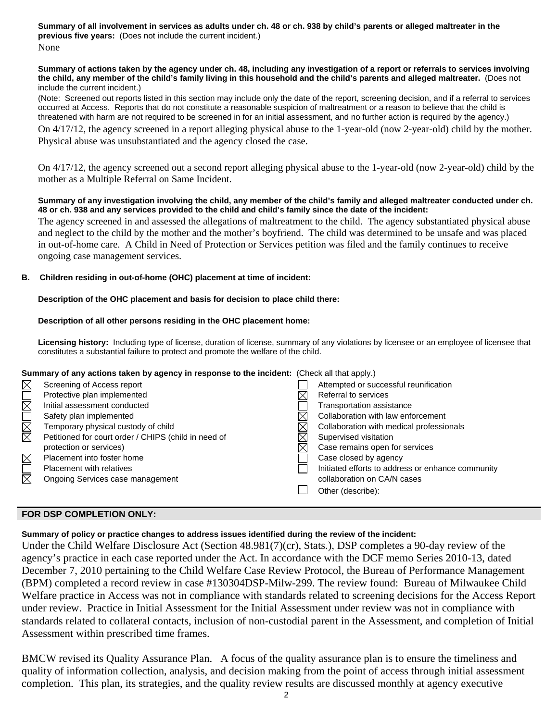**Summary of all involvement in services as adults under ch. 48 or ch. 938 by child's parents or alleged maltreater in the previous five years:** (Does not include the current incident.) None

#### **Summary of actions taken by the agency under ch. 48, including any investigation of a report or referrals to services involving the child, any member of the child's family living in this household and the child's parents and alleged maltreater.** (Does not include the current incident.)

(Note: Screened out reports listed in this section may include only the date of the report, screening decision, and if a referral to services occurred at Access. Reports that do not constitute a reasonable suspicion of maltreatment or a reason to believe that the child is threatened with harm are not required to be screened in for an initial assessment, and no further action is required by the agency.)

On 4/17/12, the agency screened in a report alleging physical abuse to the 1-year-old (now 2-year-old) child by the mother. Physical abuse was unsubstantiated and the agency closed the case.

On 4/17/12, the agency screened out a second report alleging physical abuse to the 1-year-old (now 2-year-old) child by the mother as a Multiple Referral on Same Incident.

# **Summary of any investigation involving the child, any member of the child's family and alleged maltreater conducted under ch. 48 or ch. 938 and any services provided to the child and child's family since the date of the incident:**

The agency screened in and assessed the allegations of maltreatment to the child. The agency substantiated physical abuse and neglect to the child by the mother and the mother's boyfriend. The child was determined to be unsafe and was placed in out-of-home care. A Child in Need of Protection or Services petition was filed and the family continues to receive ongoing case management services.

# **B. Children residing in out-of-home (OHC) placement at time of incident:**

# **Description of the OHC placement and basis for decision to place child there:**

# **Description of all other persons residing in the OHC placement home:**

**Licensing history:** Including type of license, duration of license, summary of any violations by licensee or an employee of licensee that constitutes a substantial failure to protect and promote the welfare of the child.

# **Summary of any actions taken by agency in response to the incident:** (Check all that apply.)

| $\boxtimes$            | Screening of Access report                           | Attempted or successful reunification             |
|------------------------|------------------------------------------------------|---------------------------------------------------|
|                        | Protective plan implemented                          | Referral to services                              |
|                        | Initial assessment conducted                         | Transportation assistance                         |
| <b>NNUMU</b>           | Safety plan implemented                              | Collaboration with law enforcement                |
|                        | Temporary physical custody of child                  | Collaboration with medical professionals          |
|                        | Petitioned for court order / CHIPS (child in need of | Supervised visitation                             |
|                        | protection or services)                              | Case remains open for services                    |
| $\boxtimes$            | Placement into foster home                           | Case closed by agency                             |
| $\overline{\boxtimes}$ | <b>Placement with relatives</b>                      | Initiated efforts to address or enhance community |
|                        | Ongoing Services case management                     | collaboration on CA/N cases                       |
|                        |                                                      | Other (describe):                                 |
|                        |                                                      |                                                   |

# **FOR DSP COMPLETION ONLY:**

# **Summary of policy or practice changes to address issues identified during the review of the incident:**

Under the Child Welfare Disclosure Act (Section 48.981(7)(cr), Stats.), DSP completes a 90-day review of the agency's practice in each case reported under the Act. In accordance with the DCF memo Series 2010-13, dated December 7, 2010 pertaining to the Child Welfare Case Review Protocol, the Bureau of Performance Management (BPM) completed a record review in case #130304DSP-Milw-299. The review found: Bureau of Milwaukee Child Welfare practice in Access was not in compliance with standards related to screening decisions for the Access Report under review. Practice in Initial Assessment for the Initial Assessment under review was not in compliance with standards related to collateral contacts, inclusion of non-custodial parent in the Assessment, and completion of Initial Assessment within prescribed time frames.

BMCW revised its Quality Assurance Plan. A focus of the quality assurance plan is to ensure the timeliness and quality of information collection, analysis, and decision making from the point of access through initial assessment completion. This plan, its strategies, and the quality review results are discussed monthly at agency executive